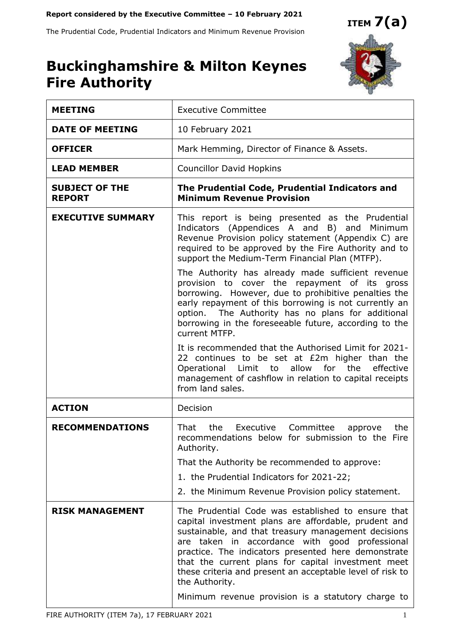#### **Report considered by the Executive Committee – 10 February 2021**

The Prudential Code, Prudential Indicators and Minimum Revenue Provision



# **Buckinghamshire & Milton Keynes Fire Authority**

| <b>MEETING</b>                         | <b>Executive Committee</b>                                                                                                                                                                                                                                                                                                                                                                                                                                            |
|----------------------------------------|-----------------------------------------------------------------------------------------------------------------------------------------------------------------------------------------------------------------------------------------------------------------------------------------------------------------------------------------------------------------------------------------------------------------------------------------------------------------------|
| <b>DATE OF MEETING</b>                 | 10 February 2021                                                                                                                                                                                                                                                                                                                                                                                                                                                      |
| <b>OFFICER</b>                         | Mark Hemming, Director of Finance & Assets.                                                                                                                                                                                                                                                                                                                                                                                                                           |
| <b>LEAD MEMBER</b>                     | <b>Councillor David Hopkins</b>                                                                                                                                                                                                                                                                                                                                                                                                                                       |
| <b>SUBJECT OF THE</b><br><b>REPORT</b> | The Prudential Code, Prudential Indicators and<br><b>Minimum Revenue Provision</b>                                                                                                                                                                                                                                                                                                                                                                                    |
| <b>EXECUTIVE SUMMARY</b>               | This report is being presented as the Prudential<br>Indicators (Appendices A and B) and Minimum<br>Revenue Provision policy statement (Appendix C) are<br>required to be approved by the Fire Authority and to<br>support the Medium-Term Financial Plan (MTFP).                                                                                                                                                                                                      |
|                                        | The Authority has already made sufficient revenue<br>provision to cover the repayment of its gross<br>borrowing. However, due to prohibitive penalties the<br>early repayment of this borrowing is not currently an<br>option. The Authority has no plans for additional<br>borrowing in the foreseeable future, according to the<br>current MTFP.                                                                                                                    |
|                                        | It is recommended that the Authorised Limit for 2021-<br>22 continues to be set at £2m higher than the<br>allow for the<br>Operational Limit to<br>effective<br>management of cashflow in relation to capital receipts<br>from land sales.                                                                                                                                                                                                                            |
| <b>ACTION</b>                          | Decision                                                                                                                                                                                                                                                                                                                                                                                                                                                              |
| <b>RECOMMENDATIONS</b>                 | That<br>the<br>Executive Committee<br>the<br>approve<br>recommendations below for submission to the Fire<br>Authority.                                                                                                                                                                                                                                                                                                                                                |
|                                        | That the Authority be recommended to approve:                                                                                                                                                                                                                                                                                                                                                                                                                         |
|                                        | 1. the Prudential Indicators for 2021-22;                                                                                                                                                                                                                                                                                                                                                                                                                             |
|                                        | 2. the Minimum Revenue Provision policy statement.                                                                                                                                                                                                                                                                                                                                                                                                                    |
| <b>RISK MANAGEMENT</b>                 | The Prudential Code was established to ensure that<br>capital investment plans are affordable, prudent and<br>sustainable, and that treasury management decisions<br>are taken in accordance with good professional<br>practice. The indicators presented here demonstrate<br>that the current plans for capital investment meet<br>these criteria and present an acceptable level of risk to<br>the Authority.<br>Minimum revenue provision is a statutory charge to |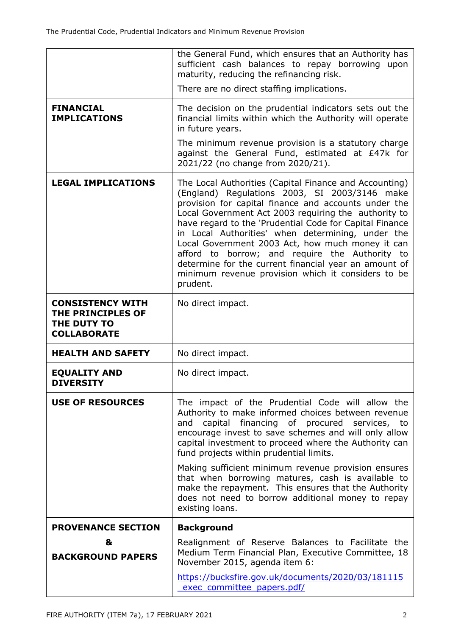|                                                                                          | the General Fund, which ensures that an Authority has<br>sufficient cash balances to repay borrowing upon<br>maturity, reducing the refinancing risk.<br>There are no direct staffing implications.                                                                                                                                                                                                                                                                                                                                                                      |
|------------------------------------------------------------------------------------------|--------------------------------------------------------------------------------------------------------------------------------------------------------------------------------------------------------------------------------------------------------------------------------------------------------------------------------------------------------------------------------------------------------------------------------------------------------------------------------------------------------------------------------------------------------------------------|
| <b>FINANCIAL</b><br><b>IMPLICATIONS</b>                                                  | The decision on the prudential indicators sets out the<br>financial limits within which the Authority will operate<br>in future years.<br>The minimum revenue provision is a statutory charge                                                                                                                                                                                                                                                                                                                                                                            |
|                                                                                          | against the General Fund, estimated at £47k for<br>2021/22 (no change from 2020/21).                                                                                                                                                                                                                                                                                                                                                                                                                                                                                     |
| <b>LEGAL IMPLICATIONS</b>                                                                | The Local Authorities (Capital Finance and Accounting)<br>(England) Regulations 2003, SI 2003/3146 make<br>provision for capital finance and accounts under the<br>Local Government Act 2003 requiring the authority to<br>have regard to the 'Prudential Code for Capital Finance<br>in Local Authorities' when determining, under the<br>Local Government 2003 Act, how much money it can<br>afford to borrow; and require the Authority to<br>determine for the current financial year an amount of<br>minimum revenue provision which it considers to be<br>prudent. |
| <b>CONSISTENCY WITH</b><br><b>THE PRINCIPLES OF</b><br>THE DUTY TO<br><b>COLLABORATE</b> | No direct impact.                                                                                                                                                                                                                                                                                                                                                                                                                                                                                                                                                        |
| <b>HEALTH AND SAFETY</b>                                                                 | No direct impact.                                                                                                                                                                                                                                                                                                                                                                                                                                                                                                                                                        |
| <b>EQUALITY AND</b><br><b>DIVERSITY</b>                                                  | No direct impact.                                                                                                                                                                                                                                                                                                                                                                                                                                                                                                                                                        |
| <b>USE OF RESOURCES</b>                                                                  | The impact of the Prudential Code will allow the<br>Authority to make informed choices between revenue<br>capital financing of procured services, to<br>and<br>encourage invest to save schemes and will only allow<br>capital investment to proceed where the Authority can<br>fund projects within prudential limits.<br>Making sufficient minimum revenue provision ensures                                                                                                                                                                                           |
|                                                                                          | that when borrowing matures, cash is available to<br>make the repayment. This ensures that the Authority<br>does not need to borrow additional money to repay<br>existing loans.                                                                                                                                                                                                                                                                                                                                                                                         |
| <b>PROVENANCE SECTION</b>                                                                | <b>Background</b>                                                                                                                                                                                                                                                                                                                                                                                                                                                                                                                                                        |
| &<br><b>BACKGROUND PAPERS</b>                                                            | Realignment of Reserve Balances to Facilitate the<br>Medium Term Financial Plan, Executive Committee, 18<br>November 2015, agenda item 6:                                                                                                                                                                                                                                                                                                                                                                                                                                |
|                                                                                          | https://bucksfire.gov.uk/documents/2020/03/181115<br>exec committee papers.pdf/                                                                                                                                                                                                                                                                                                                                                                                                                                                                                          |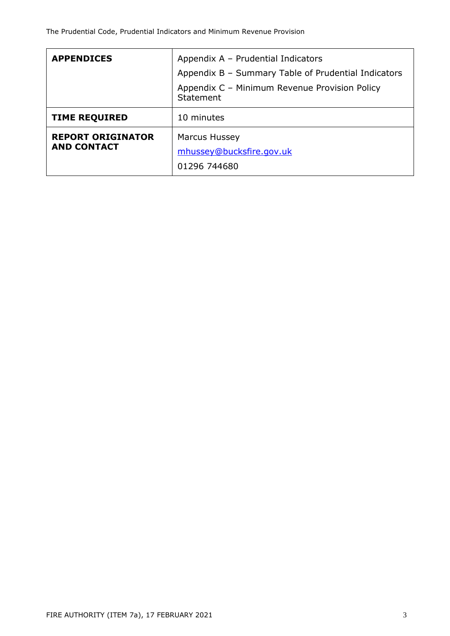| <b>APPENDICES</b>                              | Appendix A - Prudential Indicators                         |  |  |  |  |  |
|------------------------------------------------|------------------------------------------------------------|--|--|--|--|--|
|                                                | Appendix B - Summary Table of Prudential Indicators        |  |  |  |  |  |
|                                                | Appendix C - Minimum Revenue Provision Policy<br>Statement |  |  |  |  |  |
| <b>TIME REQUIRED</b>                           | 10 minutes                                                 |  |  |  |  |  |
| <b>REPORT ORIGINATOR</b><br><b>AND CONTACT</b> | Marcus Hussey<br>mhussey@bucksfire.gov.uk<br>01296 744680  |  |  |  |  |  |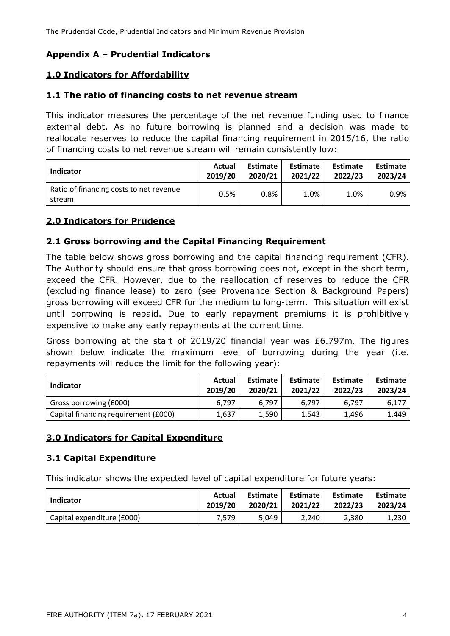# **Appendix A – Prudential Indicators**

# **1.0 Indicators for Affordability**

#### **1.1 The ratio of financing costs to net revenue stream**

This indicator measures the percentage of the net revenue funding used to finance external debt. As no future borrowing is planned and a decision was made to reallocate reserves to reduce the capital financing requirement in 2015/16, the ratio of financing costs to net revenue stream will remain consistently low:

| Indicator                                         | Actual  | Estimate | Estimate | <b>Estimate</b> | <b>Estimate</b> |
|---------------------------------------------------|---------|----------|----------|-----------------|-----------------|
|                                                   | 2019/20 | 2020/21  | 2021/22  | 2022/23         | 2023/24         |
| Ratio of financing costs to net revenue<br>stream | 0.5%    | $0.8\%$  | 1.0%     | 1.0%            | 0.9%            |

# **2.0 Indicators for Prudence**

# **2.1 Gross borrowing and the Capital Financing Requirement**

The table below shows gross borrowing and the capital financing requirement (CFR). The Authority should ensure that gross borrowing does not, except in the short term, exceed the CFR. However, due to the reallocation of reserves to reduce the CFR (excluding finance lease) to zero (see Provenance Section & Background Papers) gross borrowing will exceed CFR for the medium to long-term. This situation will exist until borrowing is repaid. Due to early repayment premiums it is prohibitively expensive to make any early repayments at the current time.

Gross borrowing at the start of 2019/20 financial year was £6.797m. The figures shown below indicate the maximum level of borrowing during the year (i.e. repayments will reduce the limit for the following year):

| Indicator                            | Actual<br>2019/20 | Estimate<br>2020/21 | Estimate<br>2021/22 | <b>Estimate</b><br>2022/23 | <b>Estimate</b><br>2023/24 |  |
|--------------------------------------|-------------------|---------------------|---------------------|----------------------------|----------------------------|--|
| Gross borrowing (£000)               | 6.797             | 6.797               | 6.797               | 6.797                      | 6.177                      |  |
| Capital financing requirement (£000) | 1,637             | 1.590               | 1.543               | 1.496                      | 1,449                      |  |

# **3.0 Indicators for Capital Expenditure**

# **3.1 Capital Expenditure**

This indicator shows the expected level of capital expenditure for future years:

| Indicator                  | Actual  | Estimate | <b>Estimate</b> | Estimate | Estimate |
|----------------------------|---------|----------|-----------------|----------|----------|
|                            | 2019/20 | 2020/21  | 2021/22         | 2022/23  | 2023/24  |
| Capital expenditure (£000) | 7.579   | 5.049    | 2.240           | 2.380    | 1.230    |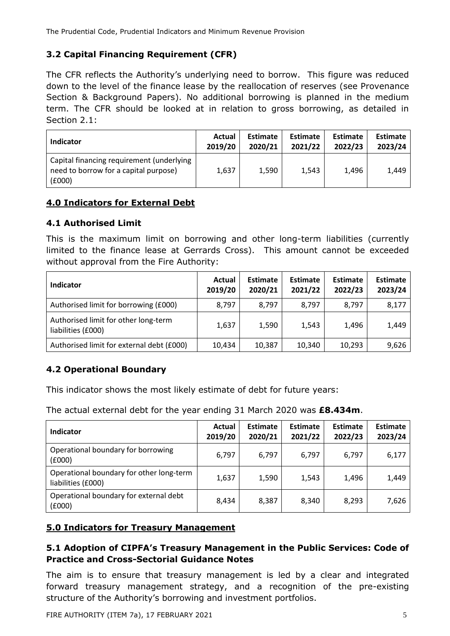# **3.2 Capital Financing Requirement (CFR)**

The CFR reflects the Authority's underlying need to borrow. This figure was reduced down to the level of the finance lease by the reallocation of reserves (see Provenance Section & Background Papers). No additional borrowing is planned in the medium term. The CFR should be looked at in relation to gross borrowing, as detailed in Section 2.1:

| Indicator                                                                                    | Actual  | <b>Estimate</b> | <b>Estimate</b> | <b>Estimate</b> | <b>Estimate</b> |
|----------------------------------------------------------------------------------------------|---------|-----------------|-----------------|-----------------|-----------------|
|                                                                                              | 2019/20 | 2020/21         | 2021/22         | 2022/23         | 2023/24         |
| Capital financing requirement (underlying<br>need to borrow for a capital purpose)<br>(£000) | 1.637   | 1,590           | 1,543           | 1.496           | 1,449           |

# **4.0 Indicators for External Debt**

# **4.1 Authorised Limit**

This is the maximum limit on borrowing and other long-term liabilities (currently limited to the finance lease at Gerrards Cross). This amount cannot be exceeded without approval from the Fire Authority:

| <b>Indicator</b>                                           | <b>Actual</b><br>2019/20 | <b>Estimate</b><br>2020/21 | Estimate<br>2021/22 | Estimate<br>2022/23 | <b>Estimate</b><br>2023/24 |
|------------------------------------------------------------|--------------------------|----------------------------|---------------------|---------------------|----------------------------|
| Authorised limit for borrowing (£000)                      | 8,797                    | 8,797                      | 8,797               | 8.797               | 8,177                      |
| Authorised limit for other long-term<br>liabilities (£000) | 1,637                    | 1,590                      | 1,543               | 1,496               | 1,449                      |
| Authorised limit for external debt (£000)                  | 10,434                   | 10,387                     | 10,340              | 10,293              | 9,626                      |

# **4.2 Operational Boundary**

This indicator shows the most likely estimate of debt for future years:

The actual external debt for the year ending 31 March 2020 was **£8.434m**.

| Indicator                                                      | Actual<br>2019/20 | <b>Estimate</b><br>2020/21 | <b>Estimate</b><br>2021/22 | Estimate<br>2022/23 | <b>Estimate</b><br>2023/24 |
|----------------------------------------------------------------|-------------------|----------------------------|----------------------------|---------------------|----------------------------|
| Operational boundary for borrowing<br>(6000)                   | 6,797             | 6,797                      | 6,797                      | 6,797               | 6,177                      |
| Operational boundary for other long-term<br>liabilities (£000) | 1,637             | 1,590                      | 1,543                      | 1,496               | 1,449                      |
| Operational boundary for external debt<br>(£000)               | 8,434             | 8,387                      | 8,340                      | 8.293               | 7,626                      |

# **5.0 Indicators for Treasury Management**

# **5.1 Adoption of CIPFA's Treasury Management in the Public Services: Code of Practice and Cross-Sectorial Guidance Notes**

The aim is to ensure that treasury management is led by a clear and integrated forward treasury management strategy, and a recognition of the pre-existing structure of the Authority's borrowing and investment portfolios.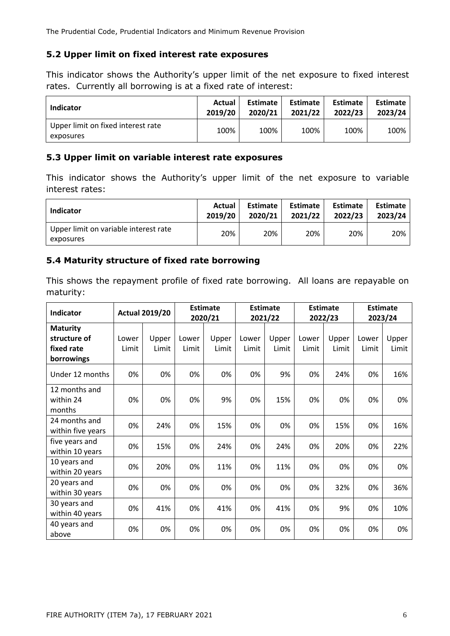The Prudential Code, Prudential Indicators and Minimum Revenue Provision

#### **5.2 Upper limit on fixed interest rate exposures**

This indicator shows the Authority's upper limit of the net exposure to fixed interest rates. Currently all borrowing is at a fixed rate of interest:

| <b>Indicator</b>                                | Actual  | <b>Estimate</b> | <b>Estimate</b> | <b>Estimate</b> | <b>Estimate</b> |  |
|-------------------------------------------------|---------|-----------------|-----------------|-----------------|-----------------|--|
|                                                 | 2019/20 | 2020/21         | 2021/22         | 2022/23         | 2023/24         |  |
| Upper limit on fixed interest rate<br>exposures | 100%    | 100%            | 100%            | 100%            | 100%            |  |

#### **5.3 Upper limit on variable interest rate exposures**

This indicator shows the Authority's upper limit of the net exposure to variable interest rates:

| Indicator                                          | Actual  | Estimate | Estimate | <b>Estimate</b> | <b>Estimate</b> |
|----------------------------------------------------|---------|----------|----------|-----------------|-----------------|
|                                                    | 2019/20 | 2020/21  | 2021/22  | 2022/23         | 2023/24         |
| Upper limit on variable interest rate<br>exposures | 20%     | 20%      | 20%      | 20%             | 20%             |

# **5.4 Maturity structure of fixed rate borrowing**

This shows the repayment profile of fixed rate borrowing. All loans are repayable on maturity:

| Indicator                                                   |                | <b>Actual 2019/20</b> |                | <b>Estimate</b><br>2020/21 | <b>Estimate</b><br>2021/22 |                | <b>Estimate</b><br>2022/23 |                | Estimate<br>2023/24 |                |
|-------------------------------------------------------------|----------------|-----------------------|----------------|----------------------------|----------------------------|----------------|----------------------------|----------------|---------------------|----------------|
| <b>Maturity</b><br>structure of<br>fixed rate<br>borrowings | Lower<br>Limit | Upper<br>Limit        | Lower<br>Limit | Upper<br>Limit             | Lower<br>Limit             | Upper<br>Limit | Lower<br>Limit             | Upper<br>Limit | Lower<br>Limit      | Upper<br>Limit |
| Under 12 months                                             | 0%             | 0%                    | 0%             | 0%                         | 0%                         | 9%             | 0%                         | 24%            | 0%                  | 16%            |
| 12 months and<br>within 24<br>months                        | 0%             | 0%                    | 0%             | 9%                         | 0%                         | 15%            | 0%                         | 0%             | 0%                  | 0%             |
| 24 months and<br>within five years                          | 0%             | 24%                   | 0%             | 15%                        | 0%                         | 0%             | 0%                         | 15%            | 0%                  | 16%            |
| five years and<br>within 10 years                           | 0%             | 15%                   | 0%             | 24%                        | 0%                         | 24%            | 0%                         | 20%            | 0%                  | 22%            |
| 10 years and<br>within 20 years                             | 0%             | 20%                   | 0%             | 11%                        | 0%                         | 11%            | 0%                         | 0%             | 0%                  | 0%             |
| 20 years and<br>within 30 years                             | 0%             | 0%                    | 0%             | 0%                         | 0%                         | 0%             | 0%                         | 32%            | 0%                  | 36%            |
| 30 years and<br>within 40 years                             | 0%             | 41%                   | 0%             | 41%                        | 0%                         | 41%            | 0%                         | 9%             | 0%                  | 10%            |
| 40 years and<br>above                                       | 0%             | 0%                    | 0%             | 0%                         | 0%                         | 0%             | 0%                         | 0%             | 0%                  | 0%             |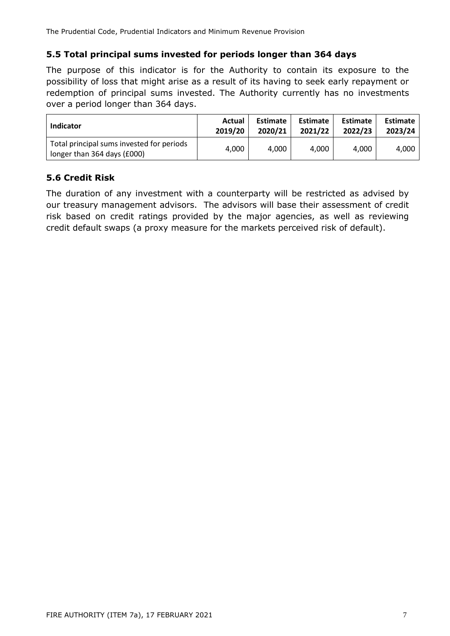The Prudential Code, Prudential Indicators and Minimum Revenue Provision

# **5.5 Total principal sums invested for periods longer than 364 days**

The purpose of this indicator is for the Authority to contain its exposure to the possibility of loss that might arise as a result of its having to seek early repayment or redemption of principal sums invested. The Authority currently has no investments over a period longer than 364 days.

| <b>Indicator</b>                                                         | Actual  | <b>Estimate</b> | Estimate | <b>Estimate</b> | Estimate |
|--------------------------------------------------------------------------|---------|-----------------|----------|-----------------|----------|
|                                                                          | 2019/20 | 2020/21         | 2021/22  | 2022/23         | 2023/24  |
| Total principal sums invested for periods<br>longer than 364 days (£000) | 4,000   | 4.000           | 4.000    | 4.000           | 4.000    |

# **5.6 Credit Risk**

The duration of any investment with a counterparty will be restricted as advised by our treasury management advisors. The advisors will base their assessment of credit risk based on credit ratings provided by the major agencies, as well as reviewing credit default swaps (a proxy measure for the markets perceived risk of default).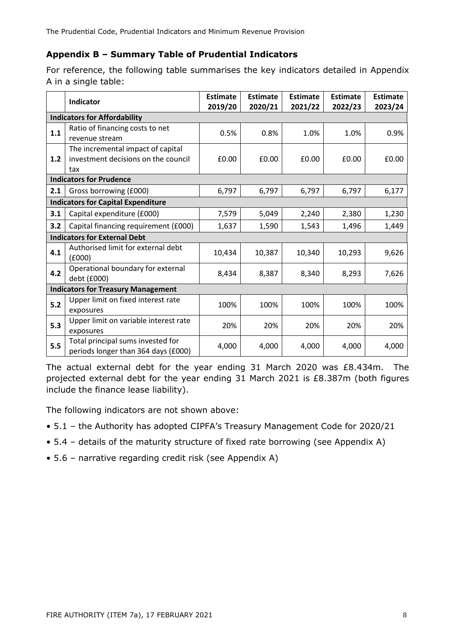# **Appendix B – Summary Table of Prudential Indicators**

For reference, the following table summarises the key indicators detailed in Appendix A in a single table:

|                                           | Indicator                                                                       | <b>Estimate</b><br>2019/20 | <b>Estimate</b><br>2020/21 | <b>Estimate</b><br>2021/22 | <b>Estimate</b><br>2022/23 | <b>Estimate</b><br>2023/24 |  |  |  |  |
|-------------------------------------------|---------------------------------------------------------------------------------|----------------------------|----------------------------|----------------------------|----------------------------|----------------------------|--|--|--|--|
| <b>Indicators for Affordability</b>       |                                                                                 |                            |                            |                            |                            |                            |  |  |  |  |
| 1.1                                       | Ratio of financing costs to net<br>revenue stream                               | 0.5%                       | 0.8%                       | 1.0%                       | 1.0%                       | 0.9%                       |  |  |  |  |
| 1.2                                       | The incremental impact of capital<br>investment decisions on the council<br>tax | £0.00                      | £0.00                      | £0.00                      | £0.00                      | £0.00                      |  |  |  |  |
| <b>Indicators for Prudence</b>            |                                                                                 |                            |                            |                            |                            |                            |  |  |  |  |
| 2.1                                       | Gross borrowing (£000)                                                          | 6,797                      | 6,797                      | 6,797                      | 6,797                      | 6,177                      |  |  |  |  |
| <b>Indicators for Capital Expenditure</b> |                                                                                 |                            |                            |                            |                            |                            |  |  |  |  |
| 3.1                                       | Capital expenditure (£000)                                                      | 7,579                      | 5,049                      | 2,240                      | 2,380                      | 1,230                      |  |  |  |  |
| 3.2                                       | Capital financing requirement (£000)                                            | 1,637                      | 1,590                      | 1,543                      | 1,496                      | 1,449                      |  |  |  |  |
| <b>Indicators for External Debt</b>       |                                                                                 |                            |                            |                            |                            |                            |  |  |  |  |
| 4.1                                       | Authorised limit for external debt<br>(£000)                                    | 10,434                     | 10,387                     | 10,340                     | 10,293                     | 9,626                      |  |  |  |  |
| 4.2                                       | Operational boundary for external<br>debt (£000)                                | 8,434                      | 8,387                      | 8,340                      | 8,293                      | 7,626                      |  |  |  |  |
| <b>Indicators for Treasury Management</b> |                                                                                 |                            |                            |                            |                            |                            |  |  |  |  |
| 5.2                                       | Upper limit on fixed interest rate<br>exposures                                 | 100%                       | 100%                       | 100%                       | 100%                       | 100%                       |  |  |  |  |
| 5.3                                       | Upper limit on variable interest rate<br>exposures                              | 20%                        | 20%                        | 20%                        | 20%                        | 20%                        |  |  |  |  |
| 5.5                                       | Total principal sums invested for<br>periods longer than 364 days (£000)        | 4,000                      | 4,000                      | 4,000                      | 4,000                      | 4,000                      |  |  |  |  |

The actual external debt for the year ending 31 March 2020 was £8.434m. The projected external debt for the year ending 31 March 2021 is £8.387m (both figures include the finance lease liability).

The following indicators are not shown above:

- 5.1 the Authority has adopted CIPFA's Treasury Management Code for 2020/21
- 5.4 details of the maturity structure of fixed rate borrowing (see Appendix A)
- 5.6 narrative regarding credit risk (see Appendix A)